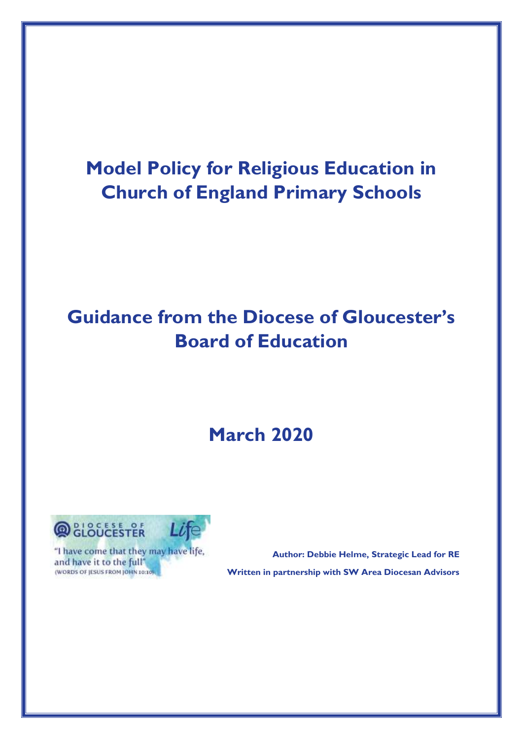## **Model Policy for Religious Education in Church of England Primary Schools**

## **Guidance from the Diocese of Gloucester's Board of Education**

# **March 2020**



"I have come that they may have life, and have it to the full" (WORDS OF JESUS FROM JOHN 10:10).

 **Author: Debbie Helme, Strategic Lead for RE Written in partnership with SW Area Diocesan Advisors**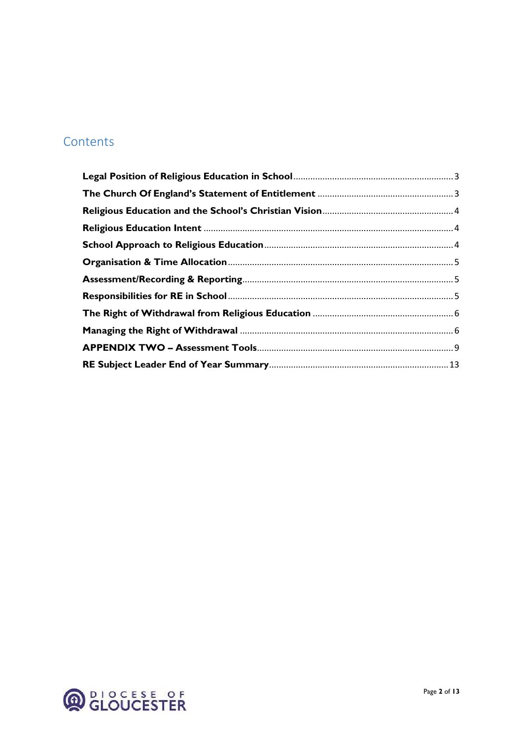### Contents

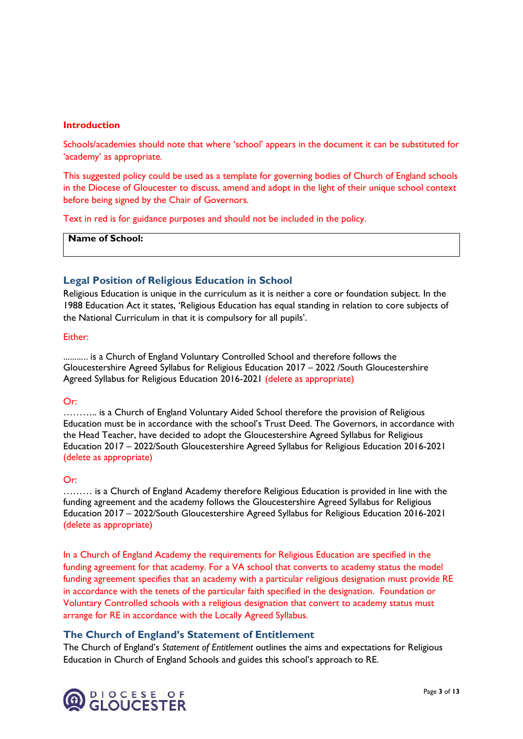#### **Introduction**

Schools/academies should note that where 'school' appears in the document it can be substituted for 'academy' as appropriate.

This suggested policy could be used as a template for governing bodies of Church of England schools in the Diocese of Gloucester to discuss, amend and adopt in the light of their unique school context before being signed by the Chair of Governors.

Text in red is for guidance purposes and should not be included in the policy.

**Name of School:**

#### <span id="page-2-0"></span>**Legal Position of Religious Education in School**

Religious Education is unique in the curriculum as it is neither a core or foundation subject. In the 1988 Education Act it states, 'Religious Education has equal standing in relation to core subjects of the National Curriculum in that it is compulsory for all pupils'.

#### Either:

……….. is a Church of England Voluntary Controlled School and therefore follows the Gloucestershire Agreed Syllabus for Religious Education 2017 – 2022 /South Gloucestershire Agreed Syllabus for Religious Education 2016-2021 (delete as appropriate)

#### Or:

……….. is a Church of England Voluntary Aided School therefore the provision of Religious Education must be in accordance with the school's Trust Deed. The Governors, in accordance with the Head Teacher, have decided to adopt the Gloucestershire Agreed Syllabus for Religious Education 2017 – 2022/South Gloucestershire Agreed Syllabus for Religious Education 2016-2021 (delete as appropriate)

#### Or:

……… is a Church of England Academy therefore Religious Education is provided in line with the funding agreement and the academy follows the Gloucestershire Agreed Syllabus for Religious Education 2017 – 2022/South Gloucestershire Agreed Syllabus for Religious Education 2016-2021 (delete as appropriate)

In a Church of England Academy the requirements for Religious Education are specified in the funding agreement for that academy. For a VA school that converts to academy status the model funding agreement specifies that an academy with a particular religious designation must provide RE in accordance with the tenets of the particular faith specified in the designation. Foundation or Voluntary Controlled schools with a religious designation that convert to academy status must arrange for RE in accordance with the Locally Agreed Syllabus.

#### <span id="page-2-1"></span>**The Church of England's Statement of Entitlement**

The Church of England's *Statement of Entitlement* outlines the aims and expectations for Religious Education in Church of England Schools and guides this school's approach to RE.

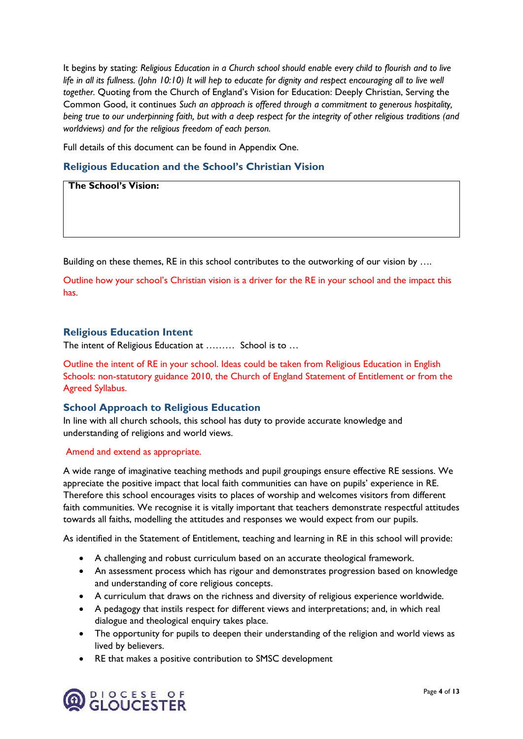It begins by stating: *Religious Education in a Church school should enable every child to flourish and to live life in all its fullness. (John 10:10) It will hep to educate for dignity and respect encouraging all to live well together.* Quoting from the Church of England's Vision for Education: Deeply Christian, Serving the Common Good, it continues *Such an approach is offered through a commitment to generous hospitality, being true to our underpinning faith, but with a deep respect for the integrity of other religious traditions (and worldviews) and for the religious freedom of each person.* 

Full details of this document can be found in Appendix One.

#### <span id="page-3-0"></span>**Religious Education and the School's Christian Vision**

**The School's Vision:**

Building on these themes, RE in this school contributes to the outworking of our vision by ....

Outline how your school's Christian vision is a driver for the RE in your school and the impact this has.

#### <span id="page-3-1"></span>**Religious Education Intent**

The intent of Religious Education at ……… School is to …

Outline the intent of RE in your school. Ideas could be taken from Religious Education in English Schools: non-statutory guidance 2010, the Church of England Statement of Entitlement or from the Agreed Syllabus.

#### <span id="page-3-2"></span>**School Approach to Religious Education**

In line with all church schools, this school has duty to provide accurate knowledge and understanding of religions and world views.

#### Amend and extend as appropriate.

A wide range of imaginative teaching methods and pupil groupings ensure effective RE sessions. We appreciate the positive impact that local faith communities can have on pupils' experience in RE. Therefore this school encourages visits to places of worship and welcomes visitors from different faith communities. We recognise it is vitally important that teachers demonstrate respectful attitudes towards all faiths, modelling the attitudes and responses we would expect from our pupils.

As identified in the Statement of Entitlement, teaching and learning in RE in this school will provide:

- A challenging and robust curriculum based on an accurate theological framework.
- An assessment process which has rigour and demonstrates progression based on knowledge and understanding of core religious concepts.
- A curriculum that draws on the richness and diversity of religious experience worldwide.
- A pedagogy that instils respect for different views and interpretations; and, in which real dialogue and theological enquiry takes place.
- The opportunity for pupils to deepen their understanding of the religion and world views as lived by believers.
- RE that makes a positive contribution to SMSC development

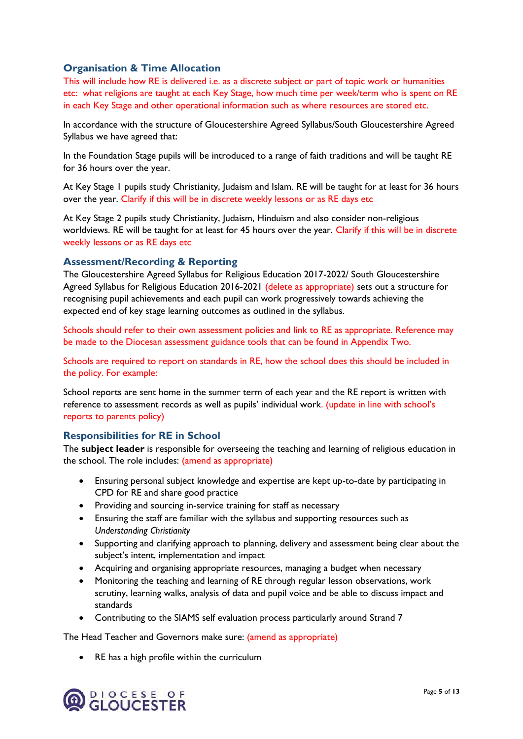#### <span id="page-4-0"></span>**Organisation & Time Allocation**

This will include how RE is delivered i.e. as a discrete subject or part of topic work or humanities etc: what religions are taught at each Key Stage, how much time per week/term who is spent on RE in each Key Stage and other operational information such as where resources are stored etc.

In accordance with the structure of Gloucestershire Agreed Syllabus/South Gloucestershire Agreed Syllabus we have agreed that:

In the Foundation Stage pupils will be introduced to a range of faith traditions and will be taught RE for 36 hours over the year.

At Key Stage 1 pupils study Christianity, Judaism and Islam. RE will be taught for at least for 36 hours over the year. Clarify if this will be in discrete weekly lessons or as RE days etc

At Key Stage 2 pupils study Christianity, Judaism, Hinduism and also consider non-religious worldviews. RE will be taught for at least for 45 hours over the year. Clarify if this will be in discrete weekly lessons or as RE days etc

#### <span id="page-4-1"></span>**Assessment/Recording & Reporting**

The Gloucestershire Agreed Syllabus for Religious Education 2017-2022/ South Gloucestershire Agreed Syllabus for Religious Education 2016-2021 (delete as appropriate) sets out a structure for recognising pupil achievements and each pupil can work progressively towards achieving the expected end of key stage learning outcomes as outlined in the syllabus.

Schools should refer to their own assessment policies and link to RE as appropriate. Reference may be made to the Diocesan assessment guidance tools that can be found in Appendix Two.

Schools are required to report on standards in RE, how the school does this should be included in the policy. For example:

School reports are sent home in the summer term of each year and the RE report is written with reference to assessment records as well as pupils' individual work. (update in line with school's reports to parents policy)

#### <span id="page-4-2"></span>**Responsibilities for RE in School**

The **subject leader** is responsible for overseeing the teaching and learning of religious education in the school. The role includes: (amend as appropriate)

- Ensuring personal subject knowledge and expertise are kept up-to-date by participating in CPD for RE and share good practice
- Providing and sourcing in-service training for staff as necessary
- Ensuring the staff are familiar with the syllabus and supporting resources such as *Understanding Christianity*
- Supporting and clarifying approach to planning, delivery and assessment being clear about the subject's intent, implementation and impact
- Acquiring and organising appropriate resources, managing a budget when necessary
- Monitoring the teaching and learning of RE through regular lesson observations, work scrutiny, learning walks, analysis of data and pupil voice and be able to discuss impact and standards
- Contributing to the SIAMS self evaluation process particularly around Strand 7

The Head Teacher and Governors make sure: (amend as appropriate)

RE has a high profile within the curriculum

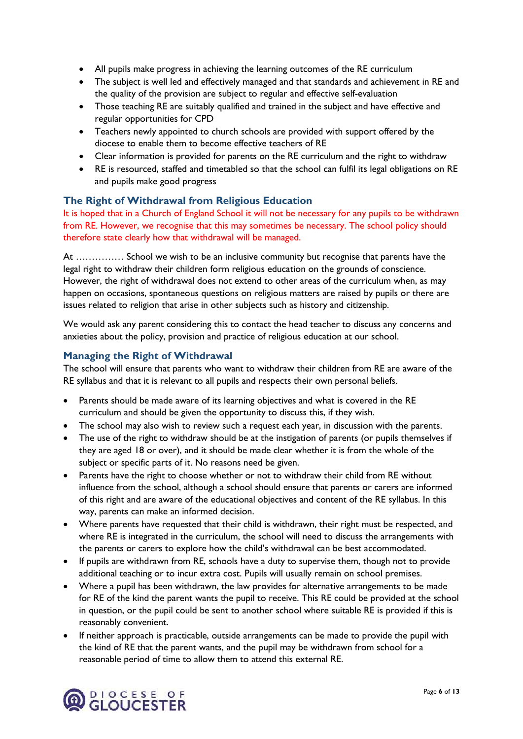- All pupils make progress in achieving the learning outcomes of the RE curriculum
- The subject is well led and effectively managed and that standards and achievement in RE and the quality of the provision are subject to regular and effective self-evaluation
- Those teaching RE are suitably qualified and trained in the subject and have effective and regular opportunities for CPD
- Teachers newly appointed to church schools are provided with support offered by the diocese to enable them to become effective teachers of RE
- Clear information is provided for parents on the RE curriculum and the right to withdraw
- RE is resourced, staffed and timetabled so that the school can fulfil its legal obligations on RE and pupils make good progress

#### <span id="page-5-0"></span>**The Right of Withdrawal from Religious Education**

It is hoped that in a Church of England School it will not be necessary for any pupils to be withdrawn from RE. However, we recognise that this may sometimes be necessary. The school policy should therefore state clearly how that withdrawal will be managed.

At …………… School we wish to be an inclusive community but recognise that parents have the legal right to withdraw their children form religious education on the grounds of conscience. However, the right of withdrawal does not extend to other areas of the curriculum when, as may happen on occasions, spontaneous questions on religious matters are raised by pupils or there are issues related to religion that arise in other subjects such as history and citizenship.

We would ask any parent considering this to contact the head teacher to discuss any concerns and anxieties about the policy, provision and practice of religious education at our school.

#### <span id="page-5-1"></span>**Managing the Right of Withdrawal**

The school will ensure that parents who want to withdraw their children from RE are aware of the RE syllabus and that it is relevant to all pupils and respects their own personal beliefs.

- Parents should be made aware of its learning objectives and what is covered in the RE curriculum and should be given the opportunity to discuss this, if they wish.
- The school may also wish to review such a request each year, in discussion with the parents.
- The use of the right to withdraw should be at the instigation of parents (or pupils themselves if they are aged 18 or over), and it should be made clear whether it is from the whole of the subject or specific parts of it. No reasons need be given.
- Parents have the right to choose whether or not to withdraw their child from RE without influence from the school, although a school should ensure that parents or carers are informed of this right and are aware of the educational objectives and content of the RE syllabus. In this way, parents can make an informed decision.
- Where parents have requested that their child is withdrawn, their right must be respected, and where RE is integrated in the curriculum, the school will need to discuss the arrangements with the parents or carers to explore how the child's withdrawal can be best accommodated.
- If pupils are withdrawn from RE, schools have a duty to supervise them, though not to provide additional teaching or to incur extra cost. Pupils will usually remain on school premises.
- Where a pupil has been withdrawn, the law provides for alternative arrangements to be made for RE of the kind the parent wants the pupil to receive. This RE could be provided at the school in question, or the pupil could be sent to another school where suitable RE is provided if this is reasonably convenient.
- If neither approach is practicable, outside arrangements can be made to provide the pupil with the kind of RE that the parent wants, and the pupil may be withdrawn from school for a reasonable period of time to allow them to attend this external RE.

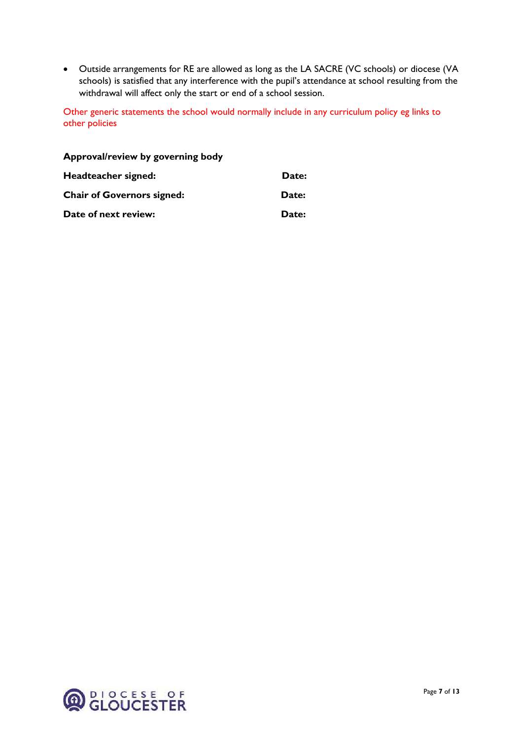Outside arrangements for RE are allowed as long as the LA SACRE (VC schools) or diocese (VA schools) is satisfied that any interference with the pupil's attendance at school resulting from the withdrawal will affect only the start or end of a school session.

Other generic statements the school would normally include in any curriculum policy eg links to other policies

| Approval/review by governing body |       |
|-----------------------------------|-------|
| Headteacher signed:               | Date: |
| <b>Chair of Governors signed:</b> | Date: |
| Date of next review:              | Date: |

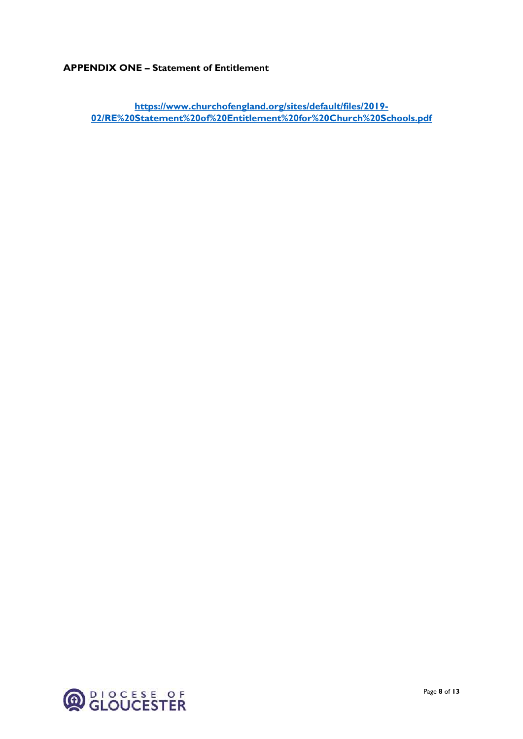#### **APPENDIX ONE – Statement of Entitlement**

**[https://www.churchofengland.org/sites/default/files/2019-](https://www.churchofengland.org/sites/default/files/2019-02/RE%20Statement%20of%20Entitlement%20for%20Church%20Schools.pdf) [02/RE%20Statement%20of%20Entitlement%20for%20Church%20Schools.pdf](https://www.churchofengland.org/sites/default/files/2019-02/RE%20Statement%20of%20Entitlement%20for%20Church%20Schools.pdf)**

**Q**<br>CLOUCESTER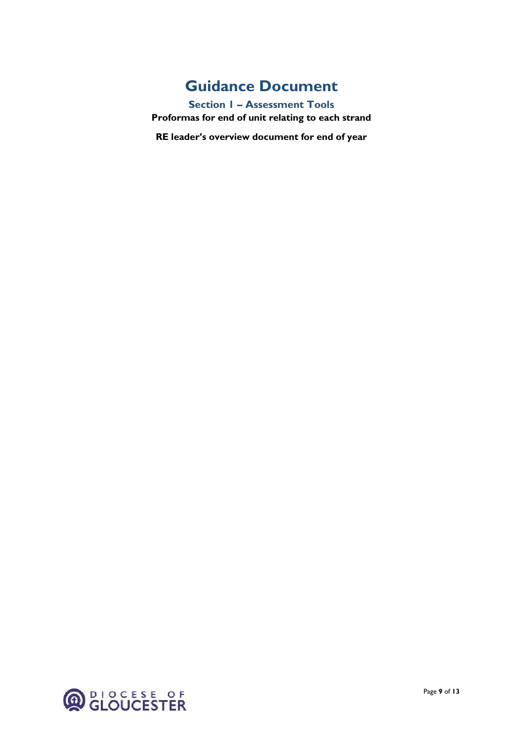### **Guidance Document**

<span id="page-8-0"></span>**Section 1 – Assessment Tools Proformas for end of unit relating to each strand**

**RE leader's overview document for end of year** 

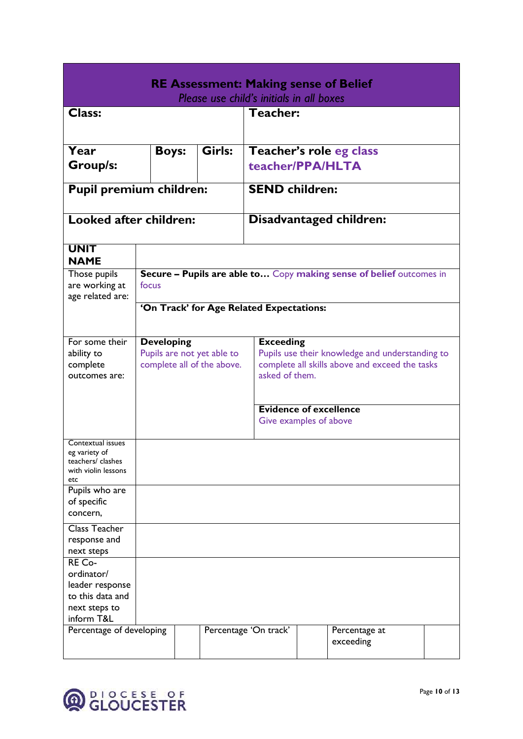| <b>RE Assessment: Making sense of Belief</b>       |                                                                                                |  |                                          |                                                         |                       |  |                            |  |  |  |
|----------------------------------------------------|------------------------------------------------------------------------------------------------|--|------------------------------------------|---------------------------------------------------------|-----------------------|--|----------------------------|--|--|--|
| Please use child's initials in all boxes           |                                                                                                |  |                                          |                                                         |                       |  |                            |  |  |  |
| <b>Class:</b>                                      |                                                                                                |  |                                          |                                                         | Teacher:              |  |                            |  |  |  |
|                                                    |                                                                                                |  |                                          |                                                         |                       |  |                            |  |  |  |
|                                                    |                                                                                                |  |                                          |                                                         |                       |  |                            |  |  |  |
| Girls:<br>Year<br><b>Boys:</b>                     |                                                                                                |  |                                          |                                                         |                       |  | Teacher's role eg class    |  |  |  |
| <b>Group/s:</b>                                    |                                                                                                |  |                                          |                                                         | teacher/PPA/HLTA      |  |                            |  |  |  |
|                                                    |                                                                                                |  |                                          |                                                         |                       |  |                            |  |  |  |
| <b>Pupil premium children:</b>                     |                                                                                                |  |                                          |                                                         | <b>SEND children:</b> |  |                            |  |  |  |
| Looked after children:                             |                                                                                                |  |                                          |                                                         |                       |  |                            |  |  |  |
|                                                    |                                                                                                |  |                                          |                                                         |                       |  | Disadvantaged children:    |  |  |  |
| <b>UNIT</b>                                        |                                                                                                |  |                                          |                                                         |                       |  |                            |  |  |  |
| <b>NAME</b>                                        |                                                                                                |  |                                          |                                                         |                       |  |                            |  |  |  |
| Those pupils<br>are working at<br>age related are: | Secure - Pupils are able to Copy making sense of belief outcomes in<br>focus                   |  |                                          |                                                         |                       |  |                            |  |  |  |
|                                                    |                                                                                                |  | 'On Track' for Age Related Expectations: |                                                         |                       |  |                            |  |  |  |
|                                                    |                                                                                                |  |                                          |                                                         |                       |  |                            |  |  |  |
|                                                    |                                                                                                |  |                                          |                                                         |                       |  |                            |  |  |  |
| For some their                                     | <b>Developing</b>                                                                              |  |                                          |                                                         | <b>Exceeding</b>      |  |                            |  |  |  |
| ability to<br>complete                             | Pupils are not yet able to<br>Pupils use their knowledge and understanding to                  |  |                                          |                                                         |                       |  |                            |  |  |  |
| outcomes are:                                      | complete all of the above.<br>complete all skills above and exceed the tasks<br>asked of them. |  |                                          |                                                         |                       |  |                            |  |  |  |
|                                                    |                                                                                                |  |                                          |                                                         |                       |  |                            |  |  |  |
|                                                    |                                                                                                |  |                                          |                                                         |                       |  |                            |  |  |  |
|                                                    |                                                                                                |  |                                          | <b>Evidence of excellence</b><br>Give examples of above |                       |  |                            |  |  |  |
|                                                    |                                                                                                |  |                                          |                                                         |                       |  |                            |  |  |  |
| Contextual issues                                  |                                                                                                |  |                                          |                                                         |                       |  |                            |  |  |  |
| eg variety of                                      |                                                                                                |  |                                          |                                                         |                       |  |                            |  |  |  |
| teachers/ clashes<br>with violin lessons           |                                                                                                |  |                                          |                                                         |                       |  |                            |  |  |  |
| etc                                                |                                                                                                |  |                                          |                                                         |                       |  |                            |  |  |  |
| Pupils who are                                     |                                                                                                |  |                                          |                                                         |                       |  |                            |  |  |  |
| of specific                                        |                                                                                                |  |                                          |                                                         |                       |  |                            |  |  |  |
| concern,                                           |                                                                                                |  |                                          |                                                         |                       |  |                            |  |  |  |
| <b>Class Teacher</b>                               |                                                                                                |  |                                          |                                                         |                       |  |                            |  |  |  |
| response and                                       |                                                                                                |  |                                          |                                                         |                       |  |                            |  |  |  |
| next steps<br>RE Co-                               |                                                                                                |  |                                          |                                                         |                       |  |                            |  |  |  |
| ordinator/                                         |                                                                                                |  |                                          |                                                         |                       |  |                            |  |  |  |
| leader response                                    |                                                                                                |  |                                          |                                                         |                       |  |                            |  |  |  |
| to this data and                                   |                                                                                                |  |                                          |                                                         |                       |  |                            |  |  |  |
| next steps to                                      |                                                                                                |  |                                          |                                                         |                       |  |                            |  |  |  |
| inform T&L                                         |                                                                                                |  |                                          |                                                         |                       |  |                            |  |  |  |
| Percentage of developing                           |                                                                                                |  |                                          |                                                         | Percentage 'On track' |  | Percentage at<br>exceeding |  |  |  |
|                                                    |                                                                                                |  |                                          |                                                         |                       |  |                            |  |  |  |

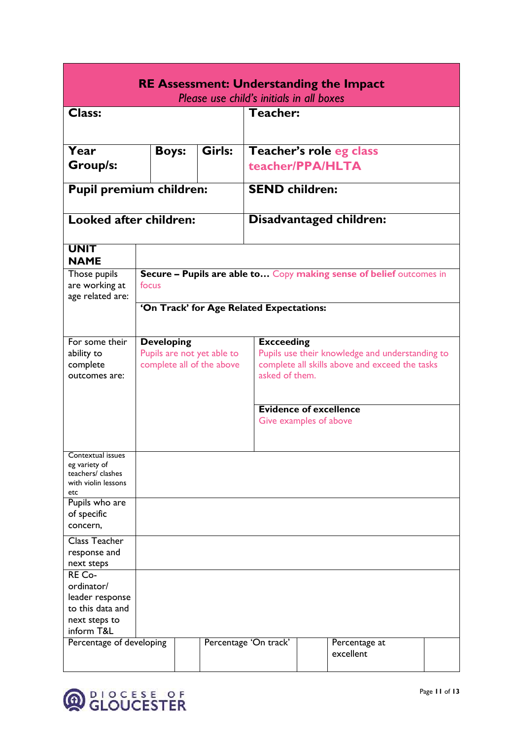| <b>RE Assessment: Understanding the Impact</b>                                             |                                                                                                                                                                                                                          |  |        |                                             |                                                         |               |  |  |  |
|--------------------------------------------------------------------------------------------|--------------------------------------------------------------------------------------------------------------------------------------------------------------------------------------------------------------------------|--|--------|---------------------------------------------|---------------------------------------------------------|---------------|--|--|--|
| Please use child's initials in all boxes                                                   |                                                                                                                                                                                                                          |  |        |                                             |                                                         |               |  |  |  |
| <b>Class:</b>                                                                              |                                                                                                                                                                                                                          |  |        | Teacher:                                    |                                                         |               |  |  |  |
| Year<br><b>Group/s:</b>                                                                    | <b>Boys:</b>                                                                                                                                                                                                             |  | Girls: | Teacher's role eg class<br>teacher/PPA/HLTA |                                                         |               |  |  |  |
| <b>Pupil premium children:</b>                                                             |                                                                                                                                                                                                                          |  |        | <b>SEND children:</b>                       |                                                         |               |  |  |  |
| Looked after children:                                                                     |                                                                                                                                                                                                                          |  |        |                                             | Disadvantaged children:                                 |               |  |  |  |
| <b>UNIT</b><br><b>NAME</b>                                                                 |                                                                                                                                                                                                                          |  |        |                                             |                                                         |               |  |  |  |
| Those pupils<br>are working at<br>age related are:                                         | Secure - Pupils are able to Copy making sense of belief outcomes in<br>focus                                                                                                                                             |  |        |                                             |                                                         |               |  |  |  |
|                                                                                            |                                                                                                                                                                                                                          |  |        | 'On Track' for Age Related Expectations:    |                                                         |               |  |  |  |
| For some their<br>ability to<br>complete<br>outcomes are:                                  | <b>Developing</b><br><b>Excceeding</b><br>Pupils are not yet able to<br>Pupils use their knowledge and understanding to<br>complete all of the above<br>complete all skills above and exceed the tasks<br>asked of them. |  |        |                                             |                                                         |               |  |  |  |
|                                                                                            |                                                                                                                                                                                                                          |  |        |                                             | <b>Evidence of excellence</b><br>Give examples of above |               |  |  |  |
| Contextual issues<br>eg variety of<br>teachers/ clashes<br>with violin lessons<br>etc      |                                                                                                                                                                                                                          |  |        |                                             |                                                         |               |  |  |  |
| Pupils who are<br>of specific<br>concern,                                                  |                                                                                                                                                                                                                          |  |        |                                             |                                                         |               |  |  |  |
| Class Teacher<br>response and<br>next steps                                                |                                                                                                                                                                                                                          |  |        |                                             |                                                         |               |  |  |  |
| RE Co-<br>ordinator/<br>leader response<br>to this data and<br>next steps to<br>inform T&L |                                                                                                                                                                                                                          |  |        |                                             |                                                         |               |  |  |  |
| Percentage of developing                                                                   |                                                                                                                                                                                                                          |  |        | Percentage 'On track'                       | excellent                                               | Percentage at |  |  |  |

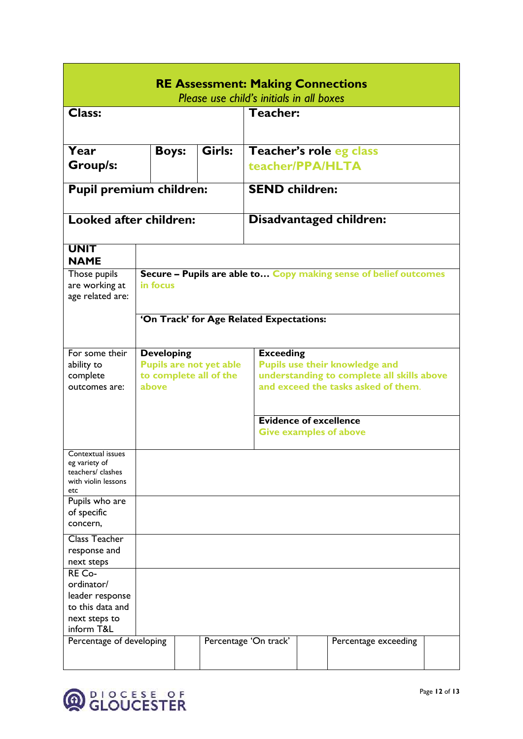| <b>RE Assessment: Making Connections</b><br>Please use child's initials in all boxes |                                                                                                                      |  |                                          |                                                                |                       |  |                                                                  |  |  |  |
|--------------------------------------------------------------------------------------|----------------------------------------------------------------------------------------------------------------------|--|------------------------------------------|----------------------------------------------------------------|-----------------------|--|------------------------------------------------------------------|--|--|--|
| <b>Class:</b>                                                                        |                                                                                                                      |  |                                          |                                                                | <b>Teacher:</b>       |  |                                                                  |  |  |  |
|                                                                                      |                                                                                                                      |  |                                          |                                                                |                       |  |                                                                  |  |  |  |
|                                                                                      |                                                                                                                      |  |                                          |                                                                |                       |  |                                                                  |  |  |  |
| Year                                                                                 | <b>Boys:</b>                                                                                                         |  | Girls:                                   |                                                                |                       |  | Teacher's role eg class                                          |  |  |  |
| <b>Group/s:</b>                                                                      |                                                                                                                      |  |                                          |                                                                |                       |  |                                                                  |  |  |  |
|                                                                                      |                                                                                                                      |  |                                          |                                                                | teacher/PPA/HLTA      |  |                                                                  |  |  |  |
| <b>Pupil premium children:</b>                                                       |                                                                                                                      |  |                                          |                                                                | <b>SEND children:</b> |  |                                                                  |  |  |  |
| Looked after children:                                                               |                                                                                                                      |  |                                          |                                                                |                       |  | Disadvantaged children:                                          |  |  |  |
|                                                                                      |                                                                                                                      |  |                                          |                                                                |                       |  |                                                                  |  |  |  |
| <b>UNIT</b><br><b>NAME</b>                                                           |                                                                                                                      |  |                                          |                                                                |                       |  |                                                                  |  |  |  |
| Those pupils                                                                         |                                                                                                                      |  |                                          |                                                                |                       |  | Secure - Pupils are able to Copy making sense of belief outcomes |  |  |  |
| are working at                                                                       | in focus                                                                                                             |  |                                          |                                                                |                       |  |                                                                  |  |  |  |
| age related are:                                                                     |                                                                                                                      |  |                                          |                                                                |                       |  |                                                                  |  |  |  |
|                                                                                      |                                                                                                                      |  | 'On Track' for Age Related Expectations: |                                                                |                       |  |                                                                  |  |  |  |
|                                                                                      |                                                                                                                      |  |                                          |                                                                |                       |  |                                                                  |  |  |  |
|                                                                                      |                                                                                                                      |  |                                          |                                                                |                       |  |                                                                  |  |  |  |
| For some their<br>ability to                                                         | <b>Developing</b><br><b>Exceeding</b><br><b>Pupils are not yet able</b><br><b>Pupils use their knowledge and</b>     |  |                                          |                                                                |                       |  |                                                                  |  |  |  |
| complete                                                                             |                                                                                                                      |  |                                          |                                                                |                       |  |                                                                  |  |  |  |
| outcomes are:                                                                        | understanding to complete all skills above<br>to complete all of the<br>and exceed the tasks asked of them.<br>above |  |                                          |                                                                |                       |  |                                                                  |  |  |  |
|                                                                                      |                                                                                                                      |  |                                          |                                                                |                       |  |                                                                  |  |  |  |
|                                                                                      |                                                                                                                      |  |                                          |                                                                |                       |  |                                                                  |  |  |  |
|                                                                                      |                                                                                                                      |  |                                          | <b>Evidence of excellence</b><br><b>Give examples of above</b> |                       |  |                                                                  |  |  |  |
|                                                                                      |                                                                                                                      |  |                                          |                                                                |                       |  |                                                                  |  |  |  |
| Contextual issues                                                                    |                                                                                                                      |  |                                          |                                                                |                       |  |                                                                  |  |  |  |
| eg variety of                                                                        |                                                                                                                      |  |                                          |                                                                |                       |  |                                                                  |  |  |  |
| teachers/ clashes<br>with violin lessons                                             |                                                                                                                      |  |                                          |                                                                |                       |  |                                                                  |  |  |  |
| etc                                                                                  |                                                                                                                      |  |                                          |                                                                |                       |  |                                                                  |  |  |  |
| Pupils who are                                                                       |                                                                                                                      |  |                                          |                                                                |                       |  |                                                                  |  |  |  |
| of specific                                                                          |                                                                                                                      |  |                                          |                                                                |                       |  |                                                                  |  |  |  |
| concern,                                                                             |                                                                                                                      |  |                                          |                                                                |                       |  |                                                                  |  |  |  |
| <b>Class Teacher</b>                                                                 |                                                                                                                      |  |                                          |                                                                |                       |  |                                                                  |  |  |  |
| response and                                                                         |                                                                                                                      |  |                                          |                                                                |                       |  |                                                                  |  |  |  |
| next steps<br>RE Co-                                                                 |                                                                                                                      |  |                                          |                                                                |                       |  |                                                                  |  |  |  |
| ordinator/                                                                           |                                                                                                                      |  |                                          |                                                                |                       |  |                                                                  |  |  |  |
| leader response                                                                      |                                                                                                                      |  |                                          |                                                                |                       |  |                                                                  |  |  |  |
| to this data and                                                                     |                                                                                                                      |  |                                          |                                                                |                       |  |                                                                  |  |  |  |
| next steps to                                                                        |                                                                                                                      |  |                                          |                                                                |                       |  |                                                                  |  |  |  |
| inform T&L                                                                           |                                                                                                                      |  |                                          |                                                                |                       |  |                                                                  |  |  |  |
| Percentage of developing                                                             |                                                                                                                      |  | Percentage 'On track'                    |                                                                |                       |  | Percentage exceeding                                             |  |  |  |
|                                                                                      |                                                                                                                      |  |                                          |                                                                |                       |  |                                                                  |  |  |  |
|                                                                                      |                                                                                                                      |  |                                          |                                                                |                       |  |                                                                  |  |  |  |